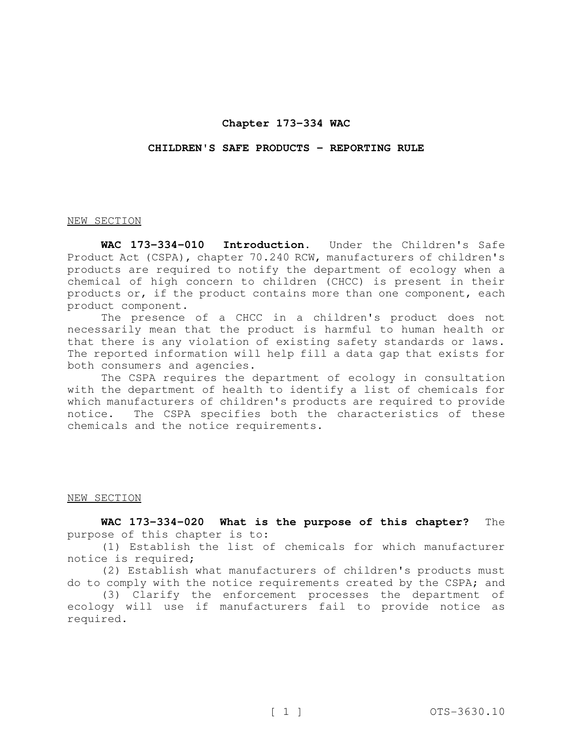# **Chapter 173-334 WAC**

#### **CHILDREN'S SAFE PRODUCTS - REPORTING RULE**

#### NEW SECTION

**WAC 173-334-010 Introduction.** Under the Children's Safe Product Act (CSPA), chapter 70.240 RCW, manufacturers of children's products are required to notify the department of ecology when a chemical of high concern to children (CHCC) is present in their products or, if the product contains more than one component, each product component.

The presence of a CHCC in a children's product does not necessarily mean that the product is harmful to human health or that there is any violation of existing safety standards or laws. The reported information will help fill a data gap that exists for both consumers and agencies.

The CSPA requires the department of ecology in consultation with the department of health to identify a list of chemicals for which manufacturers of children's products are required to provide notice. The CSPA specifies both the characteristics of these chemicals and the notice requirements.

# NEW SECTION

**WAC 173-334-020 What is the purpose of this chapter?** The purpose of this chapter is to:

(1) Establish the list of chemicals for which manufacturer notice is required;

(2) Establish what manufacturers of children's products must do to comply with the notice requirements created by the CSPA; and

(3) Clarify the enforcement processes the department of ecology will use if manufacturers fail to provide notice as required.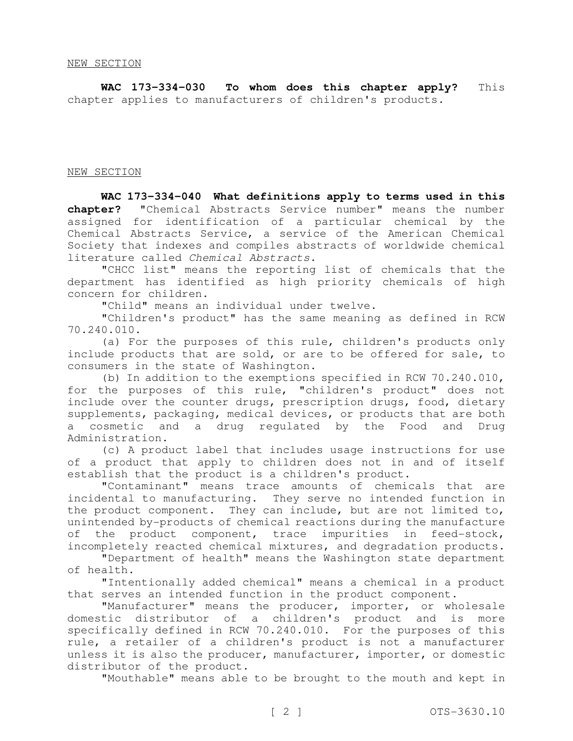**WAC 173-334-030 To whom does this chapter apply?** This chapter applies to manufacturers of children's products.

NEW SECTION

**WAC 173-334-040 What definitions apply to terms used in this chapter?** "Chemical Abstracts Service number" means the number assigned for identification of a particular chemical by the Chemical Abstracts Service, a service of the American Chemical Society that indexes and compiles abstracts of worldwide chemical literature called Chemical Abstracts.

"CHCC list" means the reporting list of chemicals that the department has identified as high priority chemicals of high concern for children.

"Child" means an individual under twelve.

"Children's product" has the same meaning as defined in RCW 70.240.010.

(a) For the purposes of this rule, children's products only include products that are sold, or are to be offered for sale, to consumers in the state of Washington.

(b) In addition to the exemptions specified in RCW 70.240.010, for the purposes of this rule, "children's product" does not include over the counter drugs, prescription drugs, food, dietary supplements, packaging, medical devices, or products that are both a cosmetic and a drug regulated by the Food and Drug Administration.

(c) A product label that includes usage instructions for use of a product that apply to children does not in and of itself establish that the product is a children's product.

"Contaminant" means trace amounts of chemicals that are incidental to manufacturing. They serve no intended function in the product component. They can include, but are not limited to, unintended by-products of chemical reactions during the manufacture of the product component, trace impurities in feed-stock, incompletely reacted chemical mixtures, and degradation products.

"Department of health" means the Washington state department of health.

"Intentionally added chemical" means a chemical in a product that serves an intended function in the product component.

"Manufacturer" means the producer, importer, or wholesale domestic distributor of a children's product and is more specifically defined in RCW 70.240.010. For the purposes of this rule, a retailer of a children's product is not a manufacturer unless it is also the producer, manufacturer, importer, or domestic distributor of the product.

"Mouthable" means able to be brought to the mouth and kept in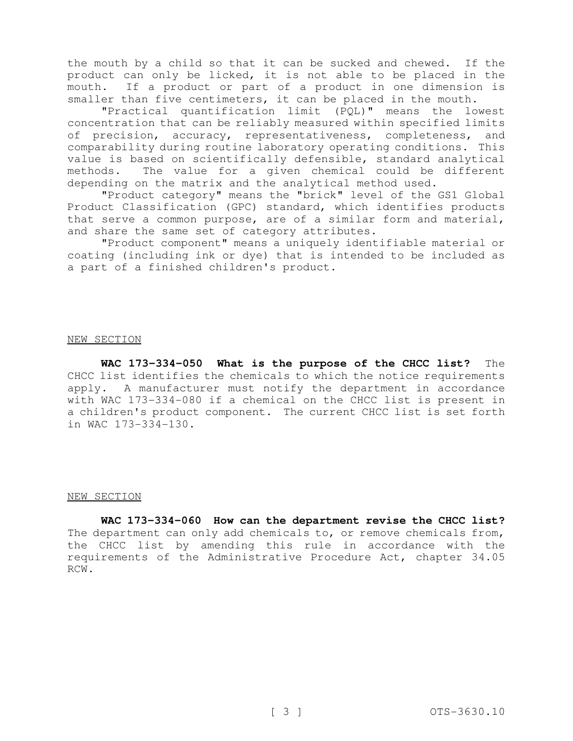the mouth by a child so that it can be sucked and chewed. If the product can only be licked, it is not able to be placed in the mouth. If a product or part of a product in one dimension is smaller than five centimeters, it can be placed in the mouth.

"Practical quantification limit (PQL)" means the lowest concentration that can be reliably measured within specified limits of precision, accuracy, representativeness, completeness, and comparability during routine laboratory operating conditions. This value is based on scientifically defensible, standard analytical methods. The value for a given chemical could be different depending on the matrix and the analytical method used.

"Product category" means the "brick" level of the GS1 Global Product Classification (GPC) standard, which identifies products that serve a common purpose, are of a similar form and material, and share the same set of category attributes.

"Product component" means a uniquely identifiable material or coating (including ink or dye) that is intended to be included as a part of a finished children's product.

# NEW SECTION

**WAC 173-334-050 What is the purpose of the CHCC list?** The CHCC list identifies the chemicals to which the notice requirements apply. A manufacturer must notify the department in accordance with WAC 173-334-080 if a chemical on the CHCC list is present in a children's product component. The current CHCC list is set forth in WAC 173-334-130.

#### NEW SECTION

**WAC 173-334-060 How can the department revise the CHCC list?** The department can only add chemicals to, or remove chemicals from, the CHCC list by amending this rule in accordance with the requirements of the Administrative Procedure Act, chapter 34.05 RCW.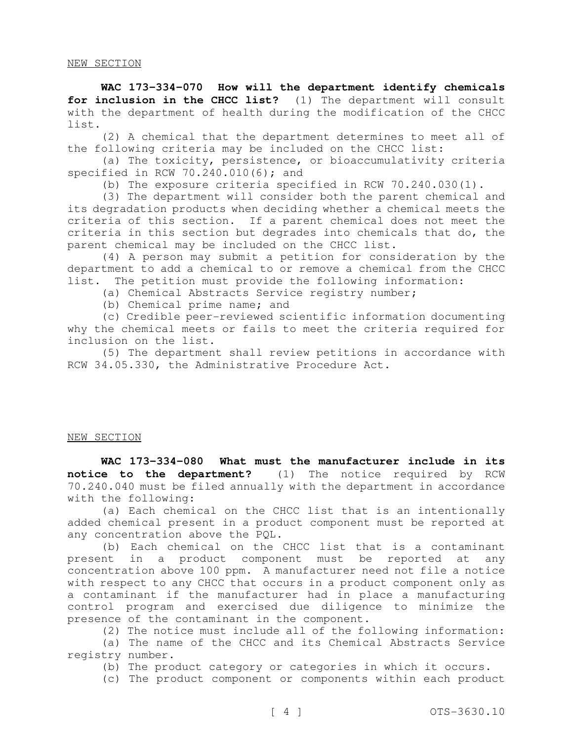**WAC 173-334-070 How will the department identify chemicals for inclusion in the CHCC list?** (1) The department will consult with the department of health during the modification of the CHCC list.

(2) A chemical that the department determines to meet all of the following criteria may be included on the CHCC list:

(a) The toxicity, persistence, or bioaccumulativity criteria specified in RCW 70.240.010(6); and

(b) The exposure criteria specified in RCW 70.240.030(1).

(3) The department will consider both the parent chemical and its degradation products when deciding whether a chemical meets the criteria of this section. If a parent chemical does not meet the criteria in this section but degrades into chemicals that do, the parent chemical may be included on the CHCC list.

(4) A person may submit a petition for consideration by the department to add a chemical to or remove a chemical from the CHCC list. The petition must provide the following information:

(a) Chemical Abstracts Service registry number;

(b) Chemical prime name; and

(c) Credible peer-reviewed scientific information documenting why the chemical meets or fails to meet the criteria required for inclusion on the list.

(5) The department shall review petitions in accordance with RCW 34.05.330, the Administrative Procedure Act.

# NEW SECTION

**WAC 173-334-080 What must the manufacturer include in its notice to the department?** (1) The notice required by RCW 70.240.040 must be filed annually with the department in accordance with the following:

(a) Each chemical on the CHCC list that is an intentionally added chemical present in a product component must be reported at any concentration above the PQL.

(b) Each chemical on the CHCC list that is a contaminant present in a product component must be reported at any concentration above 100 ppm. A manufacturer need not file a notice with respect to any CHCC that occurs in a product component only as a contaminant if the manufacturer had in place a manufacturing control program and exercised due diligence to minimize the presence of the contaminant in the component.

(2) The notice must include all of the following information:

(a) The name of the CHCC and its Chemical Abstracts Service registry number.

(b) The product category or categories in which it occurs.

(c) The product component or components within each product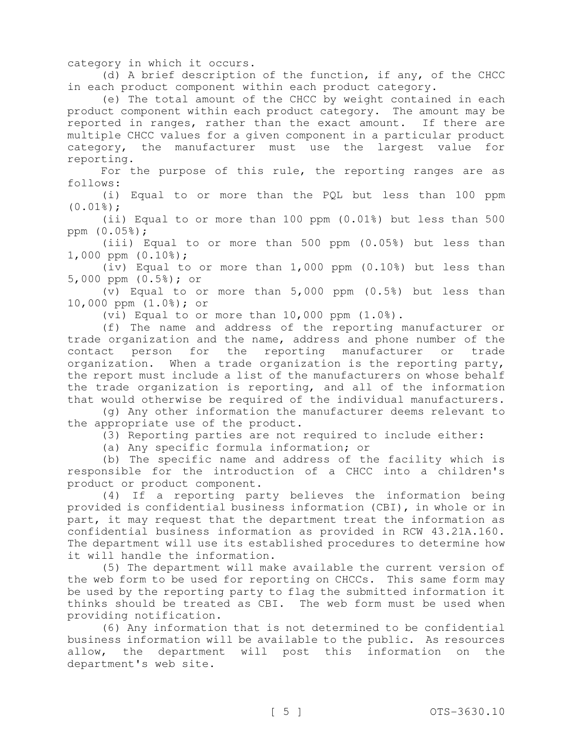category in which it occurs.

(d) A brief description of the function, if any, of the CHCC in each product component within each product category.

(e) The total amount of the CHCC by weight contained in each product component within each product category. The amount may be reported in ranges, rather than the exact amount. If there are multiple CHCC values for a given component in a particular product category, the manufacturer must use the largest value for reporting.

For the purpose of this rule, the reporting ranges are as follows:

(i) Equal to or more than the PQL but less than 100 ppm  $(0.01$ <sup>8</sup> $);$ 

(ii) Equal to or more than 100 ppm (0.01%) but less than 500 ppm (0.05%);

(iii) Equal to or more than 500 ppm (0.05%) but less than 1,000 ppm (0.10%);

(iv) Equal to or more than 1,000 ppm (0.10%) but less than 5,000 ppm (0.5%); or

(v) Equal to or more than 5,000 ppm (0.5%) but less than 10,000 ppm (1.0%); or

(vi) Equal to or more than 10,000 ppm (1.0%).

(f) The name and address of the reporting manufacturer or trade organization and the name, address and phone number of the contact person for the reporting manufacturer or trade organization. When a trade organization is the reporting party, the report must include a list of the manufacturers on whose behalf the trade organization is reporting, and all of the information that would otherwise be required of the individual manufacturers.

(g) Any other information the manufacturer deems relevant to the appropriate use of the product.

(3) Reporting parties are not required to include either:

(a) Any specific formula information; or

(b) The specific name and address of the facility which is responsible for the introduction of a CHCC into a children's product or product component.

(4) If a reporting party believes the information being provided is confidential business information (CBI), in whole or in part, it may request that the department treat the information as confidential business information as provided in RCW 43.21A.160. The department will use its established procedures to determine how it will handle the information.

(5) The department will make available the current version of the web form to be used for reporting on CHCCs. This same form may be used by the reporting party to flag the submitted information it thinks should be treated as CBI. The web form must be used when providing notification.

(6) Any information that is not determined to be confidential business information will be available to the public. As resources allow, the department will post this information on the department's web site.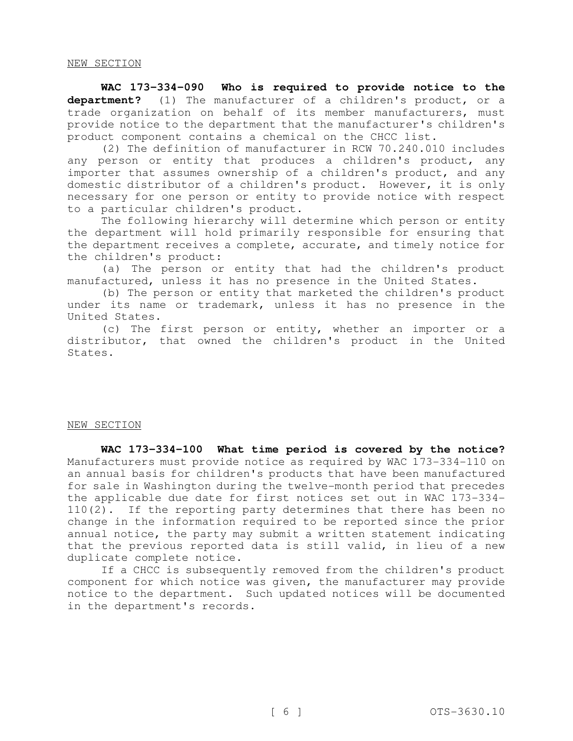**WAC 173-334-090 Who is required to provide notice to the department?** (1) The manufacturer of a children's product, or a trade organization on behalf of its member manufacturers, must provide notice to the department that the manufacturer's children's product component contains a chemical on the CHCC list.

(2) The definition of manufacturer in RCW 70.240.010 includes any person or entity that produces a children's product, any importer that assumes ownership of a children's product, and any domestic distributor of a children's product. However, it is only necessary for one person or entity to provide notice with respect to a particular children's product.

The following hierarchy will determine which person or entity the department will hold primarily responsible for ensuring that the department receives a complete, accurate, and timely notice for the children's product:

(a) The person or entity that had the children's product manufactured, unless it has no presence in the United States.

(b) The person or entity that marketed the children's product under its name or trademark, unless it has no presence in the United States.

(c) The first person or entity, whether an importer or a distributor, that owned the children's product in the United States.

#### NEW SECTION

**WAC 173-334-100 What time period is covered by the notice?** Manufacturers must provide notice as required by WAC 173-334-110 on an annual basis for children's products that have been manufactured for sale in Washington during the twelve-month period that precedes the applicable due date for first notices set out in WAC 173-334- 110(2). If the reporting party determines that there has been no change in the information required to be reported since the prior annual notice, the party may submit a written statement indicating that the previous reported data is still valid, in lieu of a new duplicate complete notice.

If a CHCC is subsequently removed from the children's product component for which notice was given, the manufacturer may provide notice to the department. Such updated notices will be documented in the department's records.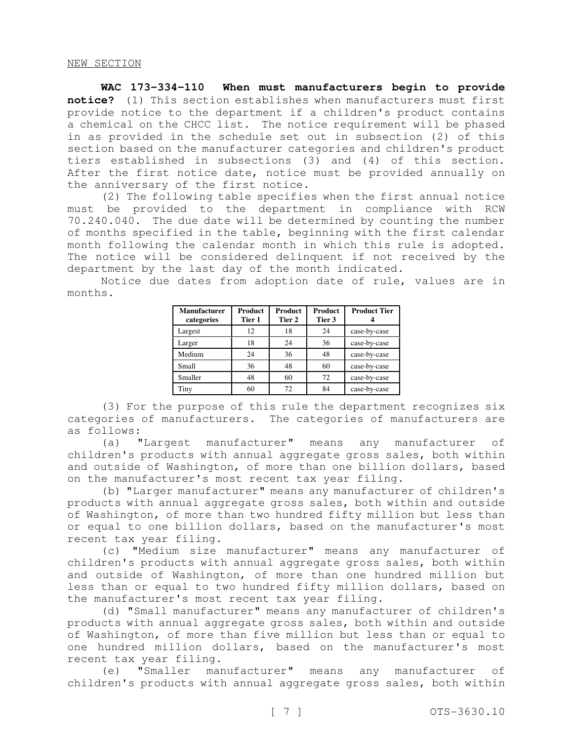**WAC 173-334-110 When must manufacturers begin to provide notice?** (1) This section establishes when manufacturers must first provide notice to the department if a children's product contains a chemical on the CHCC list. The notice requirement will be phased in as provided in the schedule set out in subsection (2) of this section based on the manufacturer categories and children's product tiers established in subsections (3) and (4) of this section. After the first notice date, notice must be provided annually on the anniversary of the first notice.

(2) The following table specifies when the first annual notice must be provided to the department in compliance with RCW 70.240.040. The due date will be determined by counting the number of months specified in the table, beginning with the first calendar month following the calendar month in which this rule is adopted. The notice will be considered delinquent if not received by the department by the last day of the month indicated.

Notice due dates from adoption date of rule, values are in months.

| <b>Manufacturer</b><br>categories | <b>Product</b><br>Tier 1 | <b>Product</b><br>Tier 2 | <b>Product</b><br>Tier 3 | <b>Product Tier</b> |
|-----------------------------------|--------------------------|--------------------------|--------------------------|---------------------|
| Largest                           | 12                       | 18                       | 24                       | case-by-case        |
| Larger                            | 18                       | 24                       | 36                       | case-by-case        |
| Medium                            | 24                       | 36                       | 48                       | case-by-case        |
| Small                             | 36                       | 48                       | 60                       | case-by-case        |
| Smaller                           | 48                       | 60                       | 72                       | case-by-case        |
| Tiny                              | 60                       | 72                       | 84                       | case-by-case        |

(3) For the purpose of this rule the department recognizes six categories of manufacturers. The categories of manufacturers are as follows:

(a) "Largest manufacturer" means any manufacturer of children's products with annual aggregate gross sales, both within and outside of Washington, of more than one billion dollars, based on the manufacturer's most recent tax year filing.

(b) "Larger manufacturer" means any manufacturer of children's products with annual aggregate gross sales, both within and outside of Washington, of more than two hundred fifty million but less than or equal to one billion dollars, based on the manufacturer's most recent tax year filing.

(c) "Medium size manufacturer" means any manufacturer of children's products with annual aggregate gross sales, both within and outside of Washington, of more than one hundred million but less than or equal to two hundred fifty million dollars, based on the manufacturer's most recent tax year filing.

(d) "Small manufacturer" means any manufacturer of children's products with annual aggregate gross sales, both within and outside of Washington, of more than five million but less than or equal to one hundred million dollars, based on the manufacturer's most recent tax year filing.

(e) "Smaller manufacturer" means any manufacturer of children's products with annual aggregate gross sales, both within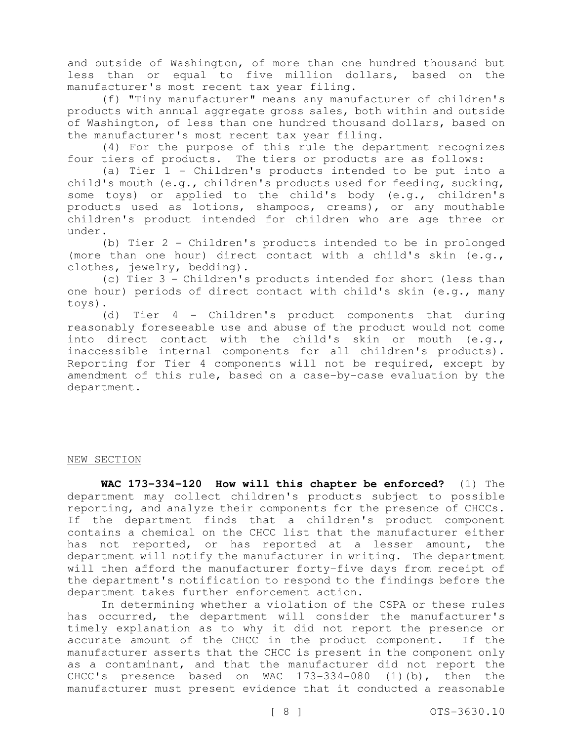and outside of Washington, of more than one hundred thousand but less than or equal to five million dollars, based on the manufacturer's most recent tax year filing.

(f) "Tiny manufacturer" means any manufacturer of children's products with annual aggregate gross sales, both within and outside of Washington, of less than one hundred thousand dollars, based on the manufacturer's most recent tax year filing.

(4) For the purpose of this rule the department recognizes four tiers of products. The tiers or products are as follows:

(a) Tier 1 - Children's products intended to be put into a child's mouth (e.g., children's products used for feeding, sucking, some toys) or applied to the child's body (e.g., children's products used as lotions, shampoos, creams), or any mouthable children's product intended for children who are age three or under.

(b) Tier 2 - Children's products intended to be in prolonged (more than one hour) direct contact with a child's skin (e.g., clothes, jewelry, bedding).

(c) Tier 3 - Children's products intended for short (less than one hour) periods of direct contact with child's skin (e.g., many toys).

(d) Tier 4 - Children's product components that during reasonably foreseeable use and abuse of the product would not come into direct contact with the child's skin or mouth (e.g., inaccessible internal components for all children's products). Reporting for Tier 4 components will not be required, except by amendment of this rule, based on a case-by-case evaluation by the department.

#### NEW SECTION

**WAC 173-334-120 How will this chapter be enforced?** (1) The department may collect children's products subject to possible reporting, and analyze their components for the presence of CHCCs. If the department finds that a children's product component contains a chemical on the CHCC list that the manufacturer either has not reported, or has reported at a lesser amount, the department will notify the manufacturer in writing. The department will then afford the manufacturer forty-five days from receipt of the department's notification to respond to the findings before the department takes further enforcement action.

In determining whether a violation of the CSPA or these rules has occurred, the department will consider the manufacturer's timely explanation as to why it did not report the presence or accurate amount of the CHCC in the product component. If the manufacturer asserts that the CHCC is present in the component only as a contaminant, and that the manufacturer did not report the CHCC's presence based on WAC 173-334-080 (1)(b), then the manufacturer must present evidence that it conducted a reasonable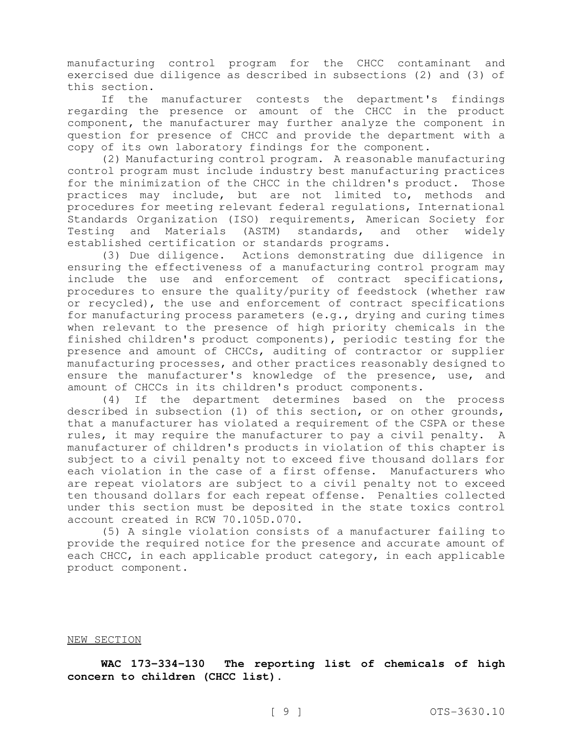manufacturing control program for the CHCC contaminant and exercised due diligence as described in subsections (2) and (3) of this section.

If the manufacturer contests the department's findings regarding the presence or amount of the CHCC in the product component, the manufacturer may further analyze the component in question for presence of CHCC and provide the department with a copy of its own laboratory findings for the component.

(2) Manufacturing control program. A reasonable manufacturing control program must include industry best manufacturing practices for the minimization of the CHCC in the children's product. Those practices may include, but are not limited to, methods and procedures for meeting relevant federal regulations, International Standards Organization (ISO) requirements, American Society for Testing and Materials (ASTM) standards, and other widely established certification or standards programs.

(3) Due diligence. Actions demonstrating due diligence in ensuring the effectiveness of a manufacturing control program may include the use and enforcement of contract specifications, procedures to ensure the quality/purity of feedstock (whether raw or recycled), the use and enforcement of contract specifications for manufacturing process parameters (e.g., drying and curing times when relevant to the presence of high priority chemicals in the finished children's product components), periodic testing for the presence and amount of CHCCs, auditing of contractor or supplier manufacturing processes, and other practices reasonably designed to ensure the manufacturer's knowledge of the presence, use, and amount of CHCCs in its children's product components.

(4) If the department determines based on the process described in subsection (1) of this section, or on other grounds, that a manufacturer has violated a requirement of the CSPA or these rules, it may require the manufacturer to pay a civil penalty. A manufacturer of children's products in violation of this chapter is subject to a civil penalty not to exceed five thousand dollars for each violation in the case of a first offense. Manufacturers who are repeat violators are subject to a civil penalty not to exceed ten thousand dollars for each repeat offense. Penalties collected under this section must be deposited in the state toxics control account created in RCW 70.105D.070.

(5) A single violation consists of a manufacturer failing to provide the required notice for the presence and accurate amount of each CHCC, in each applicable product category, in each applicable product component.

#### NEW SECTION

**WAC 173-334-130 The reporting list of chemicals of high concern to children (CHCC list).**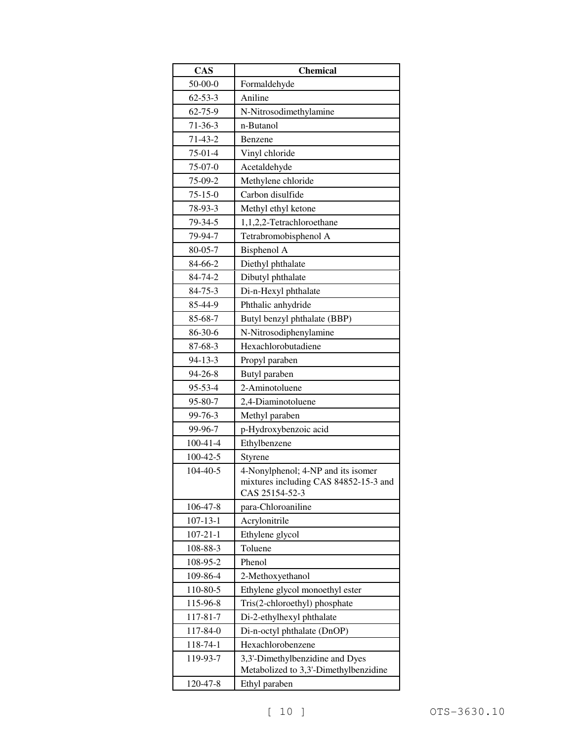| CAS            | <b>Chemical</b>                                                          |  |  |
|----------------|--------------------------------------------------------------------------|--|--|
| $50 - 00 - 0$  | Formaldehyde                                                             |  |  |
| $62 - 53 - 3$  | Aniline                                                                  |  |  |
| 62-75-9        | N-Nitrosodimethylamine                                                   |  |  |
| $71 - 36 - 3$  | n-Butanol                                                                |  |  |
| $71-43-2$      | Benzene                                                                  |  |  |
| $75-01-4$      | Vinyl chloride                                                           |  |  |
| $75-07-0$      | Acetaldehyde                                                             |  |  |
| 75-09-2        | Methylene chloride                                                       |  |  |
| $75 - 15 - 0$  | Carbon disulfide                                                         |  |  |
| 78-93-3        | Methyl ethyl ketone                                                      |  |  |
| 79-34-5        | 1,1,2,2-Tetrachloroethane                                                |  |  |
| 79-94-7        | Tetrabromobisphenol A                                                    |  |  |
| $80 - 05 - 7$  | Bisphenol A                                                              |  |  |
| 84-66-2        | Diethyl phthalate                                                        |  |  |
| 84-74-2        | Dibutyl phthalate                                                        |  |  |
| $84 - 75 - 3$  | Di-n-Hexyl phthalate                                                     |  |  |
| 85-44-9        | Phthalic anhydride                                                       |  |  |
| 85-68-7        | Butyl benzyl phthalate (BBP)                                             |  |  |
| 86-30-6        | N-Nitrosodiphenylamine                                                   |  |  |
| 87-68-3        | Hexachlorobutadiene                                                      |  |  |
| $94 - 13 - 3$  | Propyl paraben                                                           |  |  |
| 94-26-8        | Butyl paraben                                                            |  |  |
| 95-53-4        | 2-Aminotoluene                                                           |  |  |
| 95-80-7        | 2,4-Diaminotoluene                                                       |  |  |
| 99-76-3        | Methyl paraben                                                           |  |  |
| 99-96-7        | p-Hydroxybenzoic acid                                                    |  |  |
| $100 - 41 - 4$ | Ethylbenzene                                                             |  |  |
| 100-42-5       | Styrene                                                                  |  |  |
| $104 - 40 - 5$ | 4-Nonylphenol; 4-NP and its isomer                                       |  |  |
|                | mixtures including CAS 84852-15-3 and                                    |  |  |
|                | CAS 25154-52-3                                                           |  |  |
| 106-47-8       | para-Chloroaniline                                                       |  |  |
| $107 - 13 - 1$ | Acrylonitrile                                                            |  |  |
| $107 - 21 - 1$ | Ethylene glycol                                                          |  |  |
| 108-88-3       | Toluene                                                                  |  |  |
| 108-95-2       | Phenol                                                                   |  |  |
| 109-86-4       | 2-Methoxyethanol                                                         |  |  |
| 110-80-5       | Ethylene glycol monoethyl ester                                          |  |  |
| 115-96-8       | Tris(2-chloroethyl) phosphate                                            |  |  |
| 117-81-7       | Di-2-ethylhexyl phthalate                                                |  |  |
| 117-84-0       | Di-n-octyl phthalate (DnOP)                                              |  |  |
| 118-74-1       | Hexachlorobenzene                                                        |  |  |
| 119-93-7       | 3,3'-Dimethylbenzidine and Dyes<br>Metabolized to 3,3'-Dimethylbenzidine |  |  |
| 120-47-8       | Ethyl paraben                                                            |  |  |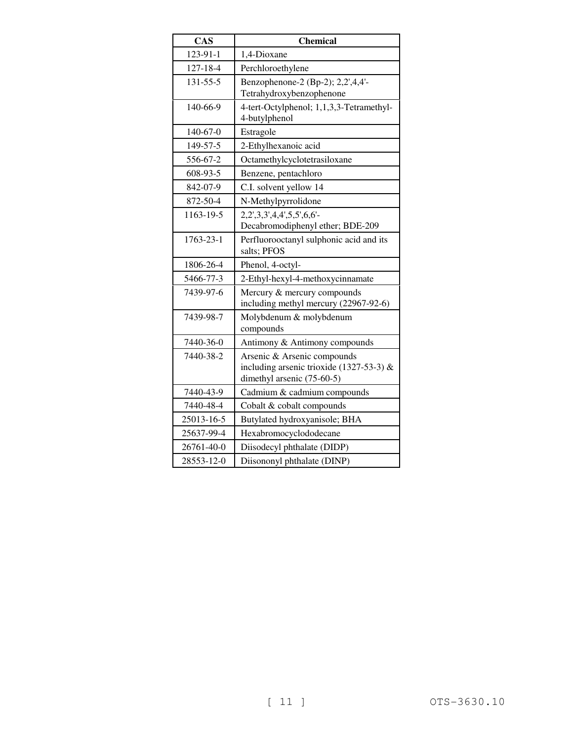| <b>CAS</b>     | <b>Chemical</b>                                                                                         |
|----------------|---------------------------------------------------------------------------------------------------------|
| 123-91-1       | 1,4-Dioxane                                                                                             |
| 127-18-4       | Perchloroethylene                                                                                       |
| $131 - 55 - 5$ | Benzophenone-2 (Bp-2); 2,2',4,4'-<br>Tetrahydroxybenzophenone                                           |
| 140-66-9       | 4-tert-Octylphenol; 1,1,3,3-Tetramethyl-<br>4-butylphenol                                               |
| 140-67-0       | Estragole                                                                                               |
| 149-57-5       | 2-Ethylhexanoic acid                                                                                    |
| 556-67-2       | Octamethylcyclotetrasiloxane                                                                            |
| 608-93-5       | Benzene, pentachloro                                                                                    |
| 842-07-9       | C.I. solvent yellow 14                                                                                  |
| 872-50-4       | N-Methylpyrrolidone                                                                                     |
| 1163-19-5      | 2,2',3,3',4,4',5,5',6,6'-<br>Decabromodiphenyl ether; BDE-209                                           |
| 1763-23-1      | Perfluorooctanyl sulphonic acid and its<br>salts; PFOS                                                  |
| 1806-26-4      | Phenol, 4-octyl-                                                                                        |
| 5466-77-3      | 2-Ethyl-hexyl-4-methoxycinnamate                                                                        |
| 7439-97-6      | Mercury & mercury compounds<br>including methyl mercury (22967-92-6)                                    |
| 7439-98-7      | Molybdenum & molybdenum<br>compounds                                                                    |
| 7440-36-0      | Antimony & Antimony compounds                                                                           |
| 7440-38-2      | Arsenic & Arsenic compounds<br>including arsenic trioxide (1327-53-3) $&$<br>dimethyl arsenic (75-60-5) |
| 7440-43-9      | Cadmium & cadmium compounds                                                                             |
| 7440-48-4      | Cobalt & cobalt compounds                                                                               |
| 25013-16-5     | Butylated hydroxyanisole; BHA                                                                           |
| 25637-99-4     | Hexabromocyclododecane                                                                                  |
| 26761-40-0     | Diisodecyl phthalate (DIDP)                                                                             |
| 28553-12-0     | Diisononyl phthalate (DINP)                                                                             |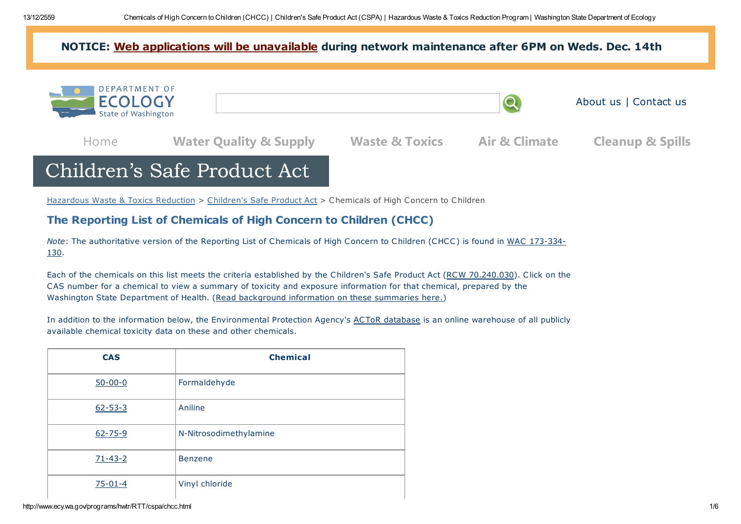# NOTICE: Web [applications](http://ecologywa.blogspot.com/2016/12/notice-web-network-maintenance-on.html) will be unavailable during network maintenance after 6PM on Weds. Dec. 14th



# Children's Safe Product Act

[Hazardous](http://www.ecy.wa.gov/programs/hwtr/index.html) Waste & Toxics Reduction > [Children's](http://www.ecy.wa.gov/programs/hwtr/RTT/cspa/) Safe Product Act > Chemicals of High Concern to Children

# The Reporting List of Chemicals of High Concern to Children (CHCC)

Note: The [authoritative](http://apps.leg.wa.gov/WAC/default.aspx?cite=173-334-130) version of the Reporting List of Chemicals of High Concern to Children (CHCC) is found in WAC 173-334- 130.

Each of the chemicals on this list meets the criteria established by the Children's Safe Product Act (RCW [70.240.030\)](http://apps.leg.wa.gov/RCW/default.aspx?cite=70.240.030). Click on the CAS number for a chemical to view a summary of toxicity and exposure information for that chemical, prepared by the Washington State Department of Health. (Read [background](http://www.ecy.wa.gov/programs/hwtr/rtt/cspa/pdf/cspa-rationale-intro.pdf) information on these summaries here.)

In addition to the information below, the Environmental Protection Agency's ACToR [database](http://actor.epa.gov/actor/faces/ACToRHome.jsp) is an online warehouse of all publicly available chemical toxicity data on these and other chemicals.

| <b>CAS</b>    | <b>Chemical</b>        |
|---------------|------------------------|
| $50 - 00 - 0$ | Formaldehyde           |
| $62 - 53 - 3$ | Aniline                |
| $62 - 75 - 9$ | N-Nitrosodimethylamine |
| $71 - 43 - 2$ | <b>Benzene</b>         |
| $75 - 01 - 4$ | Vinyl chloride         |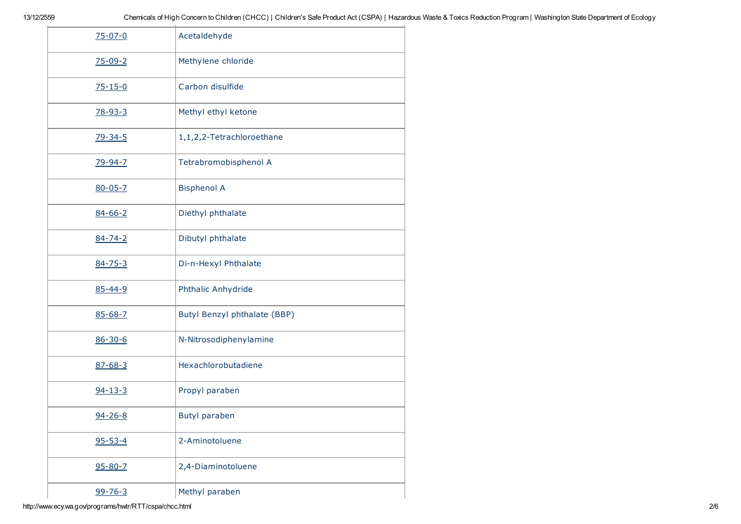| $75 - 07 - 0$ | Acetaldehyde                 |
|---------------|------------------------------|
| $75 - 09 - 2$ | Methylene chloride           |
| $75 - 15 - 0$ | Carbon disulfide             |
| $78 - 93 - 3$ | Methyl ethyl ketone          |
| $79 - 34 - 5$ | 1,1,2,2-Tetrachloroethane    |
| 79-94-7       | Tetrabromobisphenol A        |
| $80 - 05 - 7$ | <b>Bisphenol A</b>           |
| $84 - 66 - 2$ | Diethyl phthalate            |
| $84 - 74 - 2$ | Dibutyl phthalate            |
| $84 - 75 - 3$ | Di-n-Hexyl Phthalate         |
| $85 - 44 - 9$ | Phthalic Anhydride           |
| $85 - 68 - 7$ | Butyl Benzyl phthalate (BBP) |
| $86 - 30 - 6$ | N-Nitrosodiphenylamine       |
| $87 - 68 - 3$ | Hexachlorobutadiene          |
| $94 - 13 - 3$ | Propyl paraben               |
| 94-26-8       | <b>Butyl paraben</b>         |
| $95 - 53 - 4$ | 2-Aminotoluene               |
| $95 - 80 - 7$ | 2,4-Diaminotoluene           |
| $99 - 76 - 3$ | Methyl paraben               |

http://www.ecy.wa.gov/programs/hwtr/RTT/cspa/chcc.html 2/6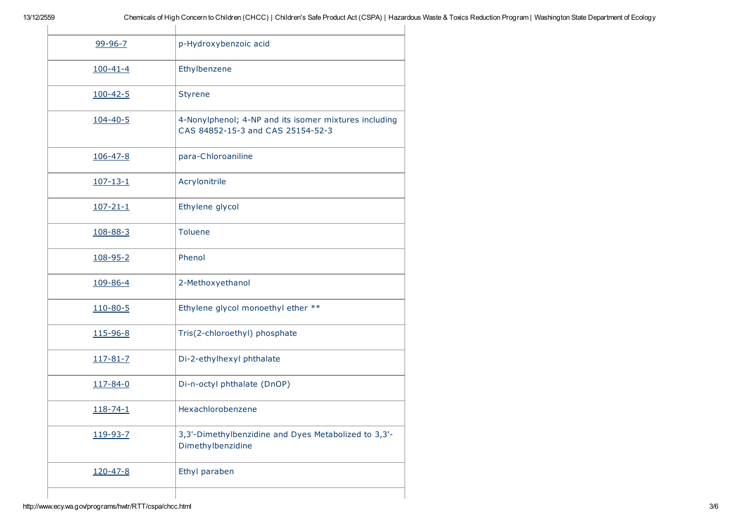| $99 - 96 - 7$  | p-Hydroxybenzoic acid                                                                      |
|----------------|--------------------------------------------------------------------------------------------|
| $100 - 41 - 4$ | Ethylbenzene                                                                               |
| $100 - 42 - 5$ | <b>Styrene</b>                                                                             |
| $104 - 40 - 5$ | 4-Nonylphenol; 4-NP and its isomer mixtures including<br>CAS 84852-15-3 and CAS 25154-52-3 |
| $106 - 47 - 8$ | para-Chloroaniline                                                                         |
| $107 - 13 - 1$ | Acrylonitrile                                                                              |
| $107 - 21 - 1$ | Ethylene glycol                                                                            |
| 108-88-3       | <b>Toluene</b>                                                                             |
| 108-95-2       | Phenol                                                                                     |
| 109-86-4       | 2-Methoxyethanol                                                                           |
| 110-80-5       | Ethylene glycol monoethyl ether **                                                         |
| 115-96-8       | Tris(2-chloroethyl) phosphate                                                              |
| 117-81-7       | Di-2-ethylhexyl phthalate                                                                  |
| $117 - 84 - 0$ | Di-n-octyl phthalate (DnOP)                                                                |
| $118 - 74 - 1$ | Hexachlorobenzene                                                                          |
| 119-93-7       | 3,3'-Dimethylbenzidine and Dyes Metabolized to 3,3'-<br>Dimethylbenzidine                  |
| $120 - 47 - 8$ | Ethyl paraben                                                                              |
|                |                                                                                            |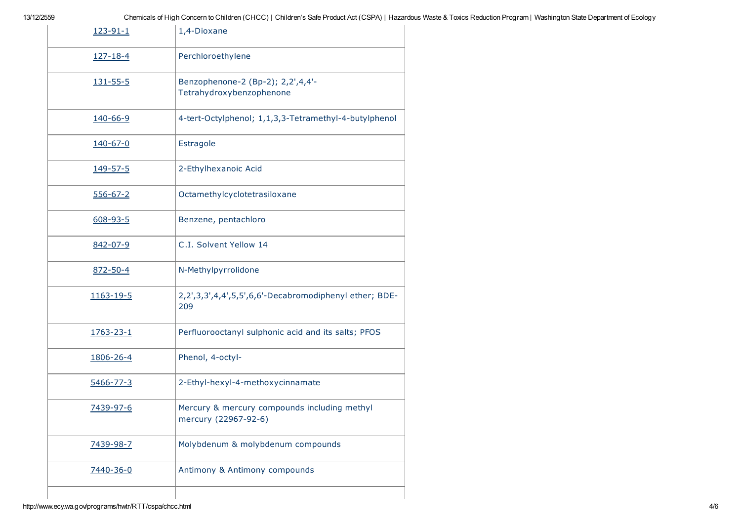| 123-91-1       | 1,4-Dioxane                                                          |
|----------------|----------------------------------------------------------------------|
| $127 - 18 - 4$ | Perchloroethylene                                                    |
| 131-55-5       | Benzophenone-2 (Bp-2); 2,2',4,4'-<br>Tetrahydroxybenzophenone        |
| 140-66-9       | 4-tert-Octylphenol; 1,1,3,3-Tetramethyl-4-butylphenol                |
| 140-67-0       | Estragole                                                            |
| 149-57-5       | 2-Ethylhexanoic Acid                                                 |
| $556 - 67 - 2$ | Octamethylcyclotetrasiloxane                                         |
| $608 - 93 - 5$ | Benzene, pentachloro                                                 |
| 842-07-9       | C.I. Solvent Yellow 14                                               |
| 872-50-4       | N-Methylpyrrolidone                                                  |
| 1163-19-5      | 2,2',3,3',4,4',5,5',6,6'-Decabromodiphenyl ether; BDE-<br>209        |
| 1763-23-1      | Perfluorooctanyl sulphonic acid and its salts; PFOS                  |
| 1806-26-4      | Phenol, 4-octyl-                                                     |
| 5466-77-3      | 2-Ethyl-hexyl-4-methoxycinnamate                                     |
| 7439-97-6      | Mercury & mercury compounds including methyl<br>mercury (22967-92-6) |
| 7439-98-7      | Molybdenum & molybdenum compounds                                    |
| 7440-36-0      | Antimony & Antimony compounds                                        |
|                |                                                                      |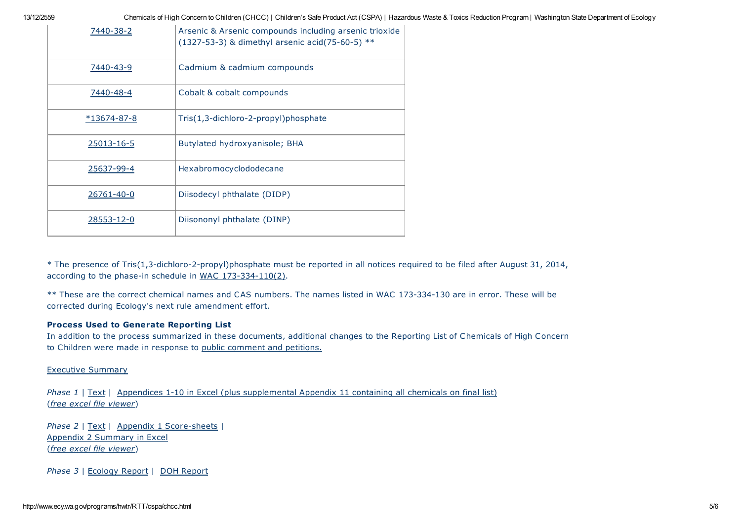13/12/2559 Chemicals of High Concern to Children (CHCC) | Children's Safe Product Act (CSPA) | Hazardous Waste & Toxics Reduction Program | Washington State Department of Ecology

| 7440-38-2     | Arsenic & Arsenic compounds including arsenic trioxide<br>(1327-53-3) & dimethyl arsenic acid(75-60-5) ** |
|---------------|-----------------------------------------------------------------------------------------------------------|
| 7440-43-9     | Cadmium & cadmium compounds                                                                               |
| 7440-48-4     | Cobalt & cobalt compounds                                                                                 |
| $*13674-87-8$ | Tris(1,3-dichloro-2-propyl)phosphate                                                                      |
| 25013-16-5    | Butylated hydroxyanisole; BHA                                                                             |
| 25637-99-4    | Hexabromocyclododecane                                                                                    |
| 26761-40-0    | Diisodecyl phthalate (DIDP)                                                                               |
| 28553-12-0    | Diisononyl phthalate (DINP)                                                                               |

\* The presence of Tris(1,3-dichloro-2-propyl)phosphate must be reported in all notices required to be filed after August 31, 2014, according to the phase-in schedule in WAC [173-334-110\(2\).](http://apps.leg.wa.gov/WAC/default.aspx?cite=173-334-110)

\*\* These are the correct chemical names and CAS numbers. The names listed in WAC 173-334-130 are in error. These will be corrected during Ecology's next rule amendment effort.

# Process Used to Generate Reporting List

In addition to the process summarized in these documents, additional changes to the Reporting List of Chemicals of High Concern to Children were made in response to public [comment](http://www.ecy.wa.gov/programs/hwtr/rules/ruleChildSafe.html) and petitions.

# Executive [Summary](http://www.ecy.wa.gov/programs/hwtr/RTT/cspa/pdf/CSPAexsum.pdf)

Phase 1 | [Text](http://www.ecy.wa.gov/programs/hwtr/RTT/cspa/pdf/p1text.pdf) | Appendices 1-10 in Excel (plus [supplemental](http://www.ecy.wa.gov/programs/hwtr/RTT/cspa/pdf/p1allappen.xlsx) Appendix 11 containing all chemicals on final list) (free excel file [viewer](http://www.microsoft.com/downloads/details.aspx?FamilyID=1cd6acf9-ce06-4e1c-8dcf-f33f669dbc3a&displaylang=en))

Phase 2 | [Text](http://www.ecy.wa.gov/programs/hwtr/RTT/cspa/pdf/p2text.pdf) | Appendix 1 [Score-sheets](http://www.ecy.wa.gov/programs/hwtr/RTT/cspa/pdf/p2ss.pdf) | Appendix 2 [Summary](http://www.ecy.wa.gov/programs/hwtr/RTT/cspa/pdf/p2sss.xlsx) in Excel (free excel file [viewer](http://www.microsoft.com/downloads/details.aspx?FamilyID=1cd6acf9-ce06-4e1c-8dcf-f33f669dbc3a&displaylang=en))

Phase 3 | [Ecology](http://www.ecy.wa.gov/programs/hwtr/RTT/cspa/pdf/p3text.pdf) Report | DOH [Report](http://www.ecy.wa.gov/programs/hwtr/RTT/cspa/pdf/p3doh.pdf)